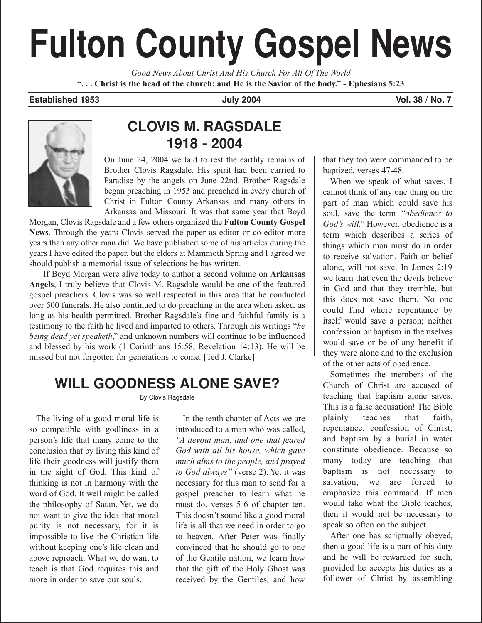# **Fulton County Gospel News**

*Good News About Christ And His Church For All Of The World* **". . . Christ is the head of the church: and He is the Savior of the body." - Ephesians 5:23**

#### **Established 1953 July 2004 Vol. 38 / No. 7**



## **CLOVIS M. RAGSDALE 1918 - 2004**

On June 24, 2004 we laid to rest the earthly remains of Brother Clovis Ragsdale. His spirit had been carried to Paradise by the angels on June 22nd. Brother Ragsdale began preaching in 1953 and preached in every church of Christ in Fulton County Arkansas and many others in Arkansas and Missouri. It was that same year that Boyd

Morgan, Clovis Ragsdale and a few others organized the **Fulton County Gospel News**. Through the years Clovis served the paper as editor or co-editor more years than any other man did. We have published some of his articles during the years I have edited the paper, but the elders at Mammoth Spring and I agreed we should publish a memorial issue of selections he has written.

If Boyd Morgan were alive today to author a second volume on **Arkansas Angels**, I truly believe that Clovis M. Ragsdale would be one of the featured gospel preachers. Clovis was so well respected in this area that he conducted over 500 funerals. He also continued to do preaching in the area when asked, as long as his health permitted. Brother Ragsdale's fine and faithful family is a testimony to the faith he lived and imparted to others. Through his writings "*he being dead yet speaketh*," and unknown numbers will continue to be influenced and blessed by his work (1 Corinthians 15:58; Revelation 14:13). He will be missed but not forgotten for generations to come. [Ted J. Clarke]

# **WILL GOODNESS ALONE SAVE?**

By Clovis Ragsdale

The living of a good moral life is so compatible with godliness in a person's life that many come to the conclusion that by living this kind of life their goodness will justify them in the sight of God. This kind of thinking is not in harmony with the word of God. It well might be called the philosophy of Satan. Yet, we do not want to give the idea that moral purity is not necessary, for it is impossible to live the Christian life without keeping one's life clean and above reproach. What we do want to teach is that God requires this and more in order to save our souls.

In the tenth chapter of Acts we are introduced to a man who was called, *"A devout man, and one that feared God with all his house, which gave much alms to the people, and prayed to God always"* (verse 2). Yet it was necessary for this man to send for a gospel preacher to learn what he must do, verses 5-6 of chapter ten. This doesn't sound like a good moral life is all that we need in order to go to heaven. After Peter was finally convinced that he should go to one of the Gentile nation, we learn how that the gift of the Holy Ghost was received by the Gentiles, and how

that they too were commanded to be baptized, verses 47-48.

When we speak of what saves, I cannot think of any one thing on the part of man which could save his soul, save the term *"obedience to God's will."* However, obedience is a term which describes a series of things which man must do in order to receive salvation. Faith or belief alone, will not save. In James 2:19 we learn that even the devils believe in God and that they tremble, but this does not save them. No one could find where repentance by itself would save a person; neither confession or baptism in themselves would save or be of any benefit if they were alone and to the exclusion of the other acts of obedience.

Sometimes the members of the Church of Christ are accused of teaching that baptism alone saves. This is a false accusation! The Bible plainly teaches that faith, repentance, confession of Christ, and baptism by a burial in water constitute obedience. Because so many today are teaching that baptism is not necessary to salvation, we are forced to emphasize this command. If men would take what the Bible teaches, then it would not be necessary to speak so often on the subject.

After one has scriptually obeyed, then a good life is a part of his duty and he will be rewarded for such, provided he accepts his duties as a follower of Christ by assembling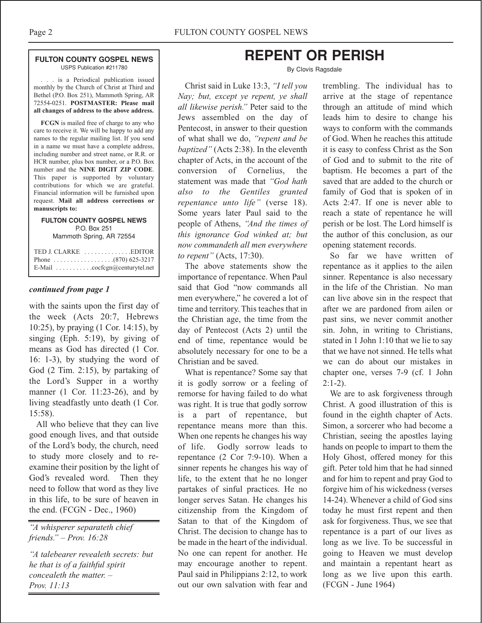#### **FULTON COUNTY GOSPEL NEWS** USPS Publication #211780

. . . is a Periodical publication issued monthly by the Church of Christ at Third and Bethel (P.O. Box 251), Mammoth Spring, AR 72554-0251. **POSTMASTER: Please mail all changes of address to the above address.**

**FCGN** is mailed free of charge to any who care to receive it. We will be happy to add any names to the regular mailing list. If you send in a name we must have a complete address, including number and street name, or R.R. or HCR number, plus box number, or a P.O. Box number and the **NINE DIGIT ZIP CODE**. This paper is supported by voluntary contributions for which we are grateful. Financial information will be furnished upon request. **Mail all address corrections or manuscripts to:**

#### **FULTON COUNTY GOSPEL NEWS** P.O. Box 251 Mammoth Spring, AR 72554

| E-Mail $\ldots \ldots \ldots \ldots$ cocfcgn@centurytel.net |  |
|-------------------------------------------------------------|--|

#### *continued from page 1*

with the saints upon the first day of the week (Acts 20:7, Hebrews 10:25), by praying (1 Cor. 14:15), by singing (Eph. 5:19), by giving of means as God has directed (1 Cor. 16: 1-3), by studying the word of God (2 Tim. 2:15), by partaking of the Lord's Supper in a worthy manner (1 Cor. 11:23-26), and by living steadfastly unto death (1 Cor. 15:58).

All who believe that they can live good enough lives, and that outside of the Lord's body, the church, need to study more closely and to reexamine their position by the light of God's revealed word. Then they need to follow that word as they live in this life, to be sure of heaven in the end. (FCGN - Dec., 1960)

*"A whisperer separateth chief friends." – Prov. 16:28*

*"A talebearer revealeth secrets: but he that is of a faithful spirit concealeth the matter. – Prov. 11:13*

## **REPENT OR PERISH**

#### By Clovis Ragsdale

Christ said in Luke 13:3, *"I tell you Nay; but, except ye repent, ye shall all likewise perish."* Peter said to the Jews assembled on the day of Pentecost, in answer to their question of what shall we do, *"repent and be baptized"* (Acts 2:38). In the eleventh chapter of Acts, in the account of the conversion of Cornelius, the statement was made that *"God hath also to the Gentiles granted repentance unto life"* (verse 18). Some years later Paul said to the people of Athens, *"And the times of this ignorance God winked at; but now commandeth all men everywhere to repent"* (Acts, 17:30).

The above statements show the importance of repentance. When Paul said that God "now commands all men everywhere," he covered a lot of time and territory. This teaches that in the Christian age, the time from the day of Pentecost (Acts 2) until the end of time, repentance would be absolutely necessary for one to be a Christian and be saved.

What is repentance? Some say that it is godly sorrow or a feeling of remorse for having failed to do what was right. It is true that godly sorrow is a part of repentance, but repentance means more than this. When one repents he changes his way of life. Godly sorrow leads to repentance (2 Cor 7:9-10). When a sinner repents he changes his way of life, to the extent that he no longer partakes of sinful practices. He no longer serves Satan. He changes his citizenship from the Kingdom of Satan to that of the Kingdom of Christ. The decision to change has to be made in the heart of the individual. No one can repent for another. He may encourage another to repent. Paul said in Philippians 2:12, to work out our own salvation with fear and

trembling. The individual has to arrive at the stage of repentance through an attitude of mind which leads him to desire to change his ways to conform with the commands of God. When he reaches this attitude it is easy to confess Christ as the Son of God and to submit to the rite of baptism. He becomes a part of the saved that are added to the church or family of God that is spoken of in Acts 2:47. If one is never able to reach a state of repentance he will perish or be lost. The Lord himself is the author of this conclusion, as our opening statement records.

So far we have written of repentance as it applies to the ailen sinner. Repentance is also necessary in the life of the Christian. No man can live above sin in the respect that after we are pardoned from ailen or past sins, we never commit another sin. John, in writing to Christians, stated in 1 John 1:10 that we lie to say that we have not sinned. He tells what we can do about our mistakes in chapter one, verses 7-9 (cf. 1 John  $2:1-2$ ).

We are to ask forgiveness through Christ. A good illustration of this is found in the eighth chapter of Acts. Simon, a sorcerer who had become a Christian, seeing the apostles laying hands on people to impart to them the Holy Ghost, offered money for this gift. Peter told him that he had sinned and for him to repent and pray God to forgive him of his wickedness (verses 14-24). Whenever a child of God sins today he must first repent and then ask for forgiveness. Thus, we see that repentance is a part of our lives as long as we live. To be successful in going to Heaven we must develop and maintain a repentant heart as long as we live upon this earth. (FCGN - June 1964)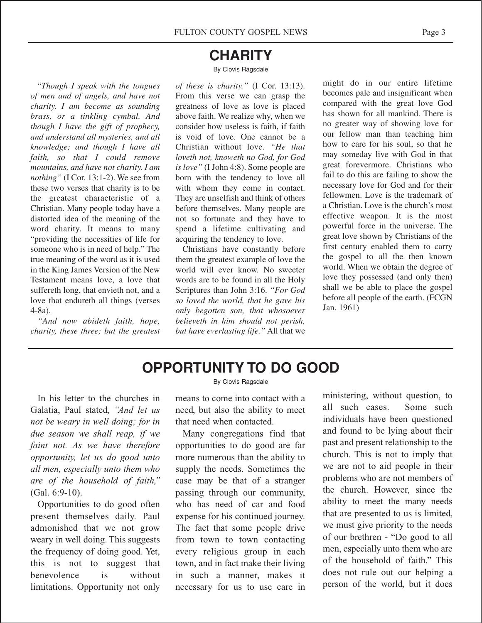## **CHARITY**

#### By Clovis Ragsdale

"*Though I speak with the tongues of men and of angels, and have not charity, I am become as sounding brass, or a tinkling cymbal. And though I have the gift of prophecy, and understand all mysteries, and all knowledge; and though I have all faith, so that I could remove mountains, and have not charity, I am nothing"* (I Cor. 13:1-2). We see from these two verses that charity is to be the greatest characteristic of a Christian. Many people today have a distorted idea of the meaning of the word charity. It means to many "providing the necessities of life for someone who is in need of help." The true meaning of the word as it is used in the King James Version of the New Testament means love, a love that suffereth long, that envieth not, and a love that endureth all things (verses 4-8a).

*"And now abideth faith, hope, charity, these three; but the greatest* *of these is charity."* (I Cor. 13:13). From this verse we can grasp the greatness of love as love is placed above faith. We realize why, when we consider how useless is faith, if faith is void of love. One cannot be a Christian without love. *"He that loveth not, knoweth no God, for God is love"* (I John 4:8). Some people are born with the tendency to love all with whom they come in contact. They are unselfish and think of others before themselves. Many people are not so fortunate and they have to spend a lifetime cultivating and acquiring the tendency to love.

Christians have constantly before them the greatest example of love the world will ever know. No sweeter words are to be found in all the Holy Scriptures than John 3:16. *"For God so loved the world, that he gave his only begotten son, that whosoever believeth in him should not perish, but have everlasting life."* All that we

might do in our entire lifetime becomes pale and insignificant when compared with the great love God has shown for all mankind. There is no greater way of showing love for our fellow man than teaching him how to care for his soul, so that he may someday live with God in that great forevermore. Christians who fail to do this are failing to show the necessary love for God and for their fellowmen. Love is the trademark of a Christian. Love is the church's most effective weapon. It is the most powerful force in the universe. The great love shown by Christians of the first century enabled them to carry the gospel to all the then known world. When we obtain the degree of love they possessed (and only then) shall we be able to place the gospel before all people of the earth. (FCGN Jan. 1961)

## **OPPORTUNITY TO DO GOOD**

In his letter to the churches in Galatia, Paul stated, *"And let us not be weary in well doing; for in due season we shall reap, if we faint not. As we have therefore opportunity, let us do good unto all men, especially unto them who are of the household of faith,"* (Gal. 6:9-10).

Opportunities to do good often present themselves daily. Paul admonished that we not grow weary in well doing. This suggests the frequency of doing good. Yet, this is not to suggest that benevolence is without limitations. Opportunity not only By Clovis Ragsdale

means to come into contact with a need, but also the ability to meet that need when contacted.

Many congregations find that opportunities to do good are far more numerous than the ability to supply the needs. Sometimes the case may be that of a stranger passing through our community, who has need of car and food expense for his continued journey. The fact that some people drive from town to town contacting every religious group in each town, and in fact make their living in such a manner, makes it necessary for us to use care in

ministering, without question, to all such cases. Some such individuals have been questioned and found to be lying about their past and present relationship to the church. This is not to imply that we are not to aid people in their problems who are not members of the church. However, since the ability to meet the many needs that are presented to us is limited, we must give priority to the needs of our brethren - "Do good to all men, especially unto them who are of the household of faith." This does not rule out our helping a person of the world, but it does